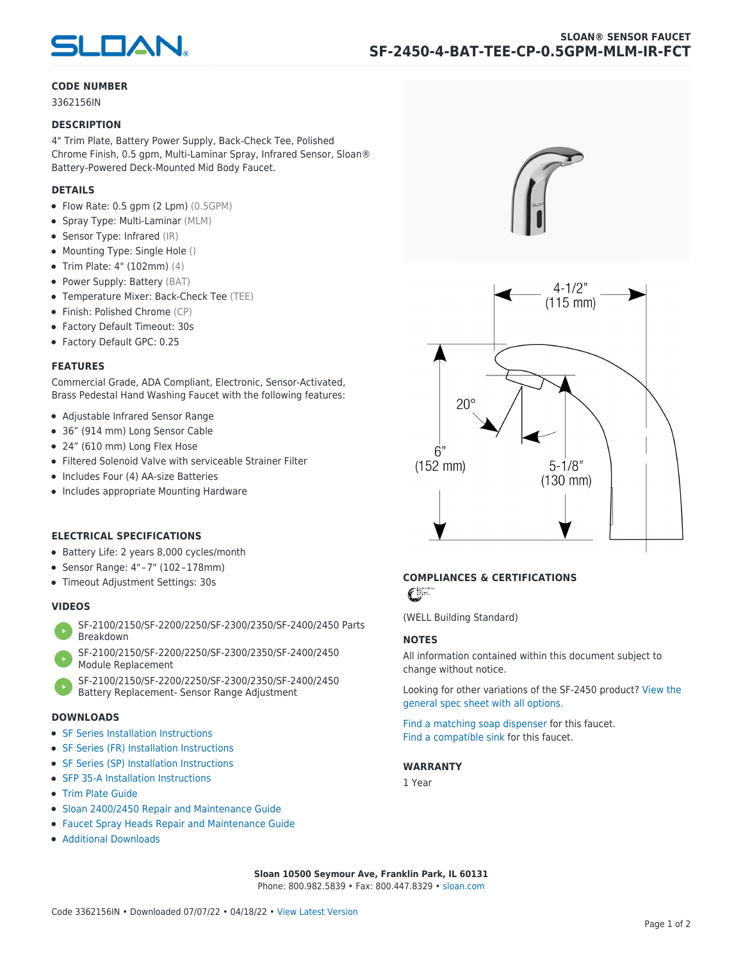

#### **CODE NUMBER**

3362156IN

#### **DESCRIPTION**

4" Trim Plate, Battery Power Supply, Back-Check Tee, Polished Chrome Finish, 0.5 gpm, Multi-Laminar Spray, Infrared Sensor, Sloan® Battery-Powered Deck-Mounted Mid Body Faucet.

#### **DETAILS**

- Flow Rate: 0.5 gpm (2 Lpm) (0.5GPM)
- Spray Type: Multi-Laminar (MLM)
- Sensor Type: Infrared (IR)
- Mounting Type: Single Hole ()
- Trim Plate: 4" (102mm) (4)
- Power Supply: Battery (BAT)
- Temperature Mixer: Back-Check Tee (TEE)
- Finish: Polished Chrome (CP)
- Factory Default Timeout: 30s
- Factory Default GPC: 0.25

#### **FEATURES**

Commercial Grade, ADA Compliant, Electronic, Sensor-Activated, Brass Pedestal Hand Washing Faucet with the following features:

- Adjustable Infrared Sensor Range
- 36" (914 mm) Long Sensor Cable
- 24" (610 mm) Long Flex Hose
- Filtered Solenoid Valve with serviceable Strainer Filter
- Includes Four (4) AA-size Batteries
- Includes appropriate Mounting Hardware

#### **ELECTRICAL SPECIFICATIONS**

- Battery Life: 2 years 8,000 cycles/month
- Sensor Range: 4" – 7" (102 – 178mm)
- Timeout Adjustment Settings: 30s

#### **VIDEOS**

- [SF-2100/2150/SF-2200/2250/SF-2300/2350/SF-2400/2450 Parts](https://vimeo.com/307089947) [Breakdown](https://vimeo.com/307089947)
- [SF-2100/2150/SF-2200/2250/SF-2300/2350/SF-2400/2450](https://vimeo.com/307087494) [Module Replacement](https://vimeo.com/307087494)
- [SF-2100/2150/SF-2200/2250/SF-2300/2350/SF-2400/2450](https://vimeo.com/307085279) [Battery Replacement- Sensor Range Adjustment](https://vimeo.com/307085279)

#### **DOWNLOADS**

- [SF Series Installation Instructions](https://en.sloan.com/sites/default/files/2018-02/II0816496Rev5_0.pdf)
- [SF Series \(FR\) Installation Instructions](https://en.sloan.com/sites/default/files/2015-12/0816563-fr.pdf)
- [SF Series \(SP\) Installation Instructions](https://en.sloan.com/sites/default/files/2022-03/0816568SP_Rev2.pdf)
- [SFP 35-A Installation Instructions](https://en.sloan.com/sites/default/files/2015-12/0816817.pdf)
- [Trim Plate Guide](https://en.sloan.com/sites/default/files/2020-03/Trim_PlatesAllFaucets.pdf)
- [Sloan 2400/2450 Repair and Maintenance Guide](https://en.sloan.com/sites/default/files/2022-06/Sloan-SF-2400-2450.pdf)
- [Faucet Spray Heads Repair and Maintenance Guide](https://en.sloan.com/sites/default/files/2020-03/Optima-OptimaPlusFaucet_Spray_Heads.pdf)
- [Additional Downloads](https://en.sloan.com/commercial-bathroom-products/faucets/sloan/sf-2450)





## **COMPLIANCES & CERTIFICATIONS**

C

(WELL Building Standard)

#### **NOTES**

All information contained within this document subject to change without notice.

[Looking for other variations of the SF-2450 product? View the](https://en.sloan.com/general-spec/441) [general spec sheet with all options.](https://en.sloan.com/general-spec/441)

[Find a matching soap dispenser](https://en.sloan.com/commercial-bathroom-products/soap-dispensers) for this faucet. [Find a compatible sink](https://en.sloan.com/commercial-bathroom-products/sinks) for this faucet.

#### **WARRANTY**

1 Year

**Sloan 10500 Seymour Ave, Franklin Park, IL 60131** Phone: 800.982.5839 • Fax: 800.447.8329 • [sloan.com](https://www.sloan.com)